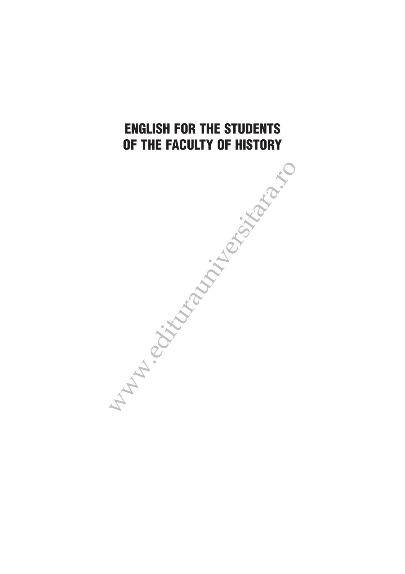MARTINE MISTORY MISTORY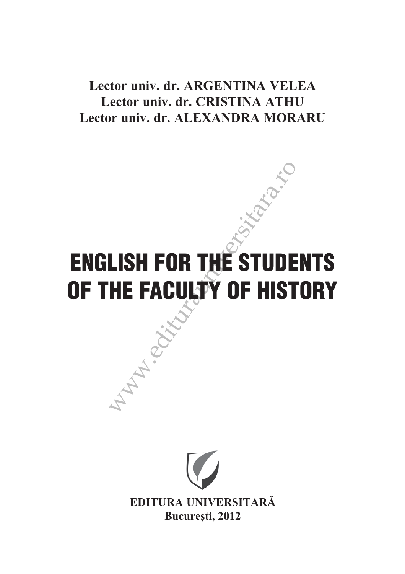## Lector univ. dr. ARGENTINA VELEA Lector univ. dr. CRISTINA ATHU Lector univ. dr. ALEXANDRA MORARII

# **ENGLISH FOR THE STUDENTS** OF THE FACULTY OF HISTORY **THIS TAT**

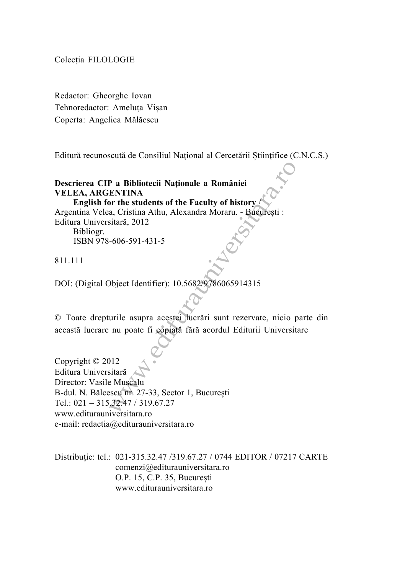Colecția FILOLOGIE

Redactor: Gheorghe Iovan Tehnoredactor: Ameluṭa Viṣan Coperta: Angelica Mãlãescu

Editură recunoscută de Consiliul National al Cercetării Stiintifice (C.N.C.S.)

#### Descrierea CIP a Bibliotecii Nationale a României **VELEA, ARGENTINA**

**English for the students of the Faculty of history** Argentina Velea, Cristina Athu, Alexandra Moraru. - Bucuresti : Editura Universitarã, 2012 Bibliogr. ISBN 978-606-591-431-5

811.111

DOI: (Digital Object Identifier): 10.5682/9786065914315

© Toate drepturile asupra acestei lucrãri sunt rezervate, nicio parte din aceastã lucrare nu poate fi copiatã fãrã acordul Editurii Universitare

P a Bibliotecii Naționale a României<br>
ENTINA<br>
or the students of the Faculty of history<br>
a, Cristina Athu, Alexandra Moraru. - București :<br>
sitară, 2012<br>  $-606-591-431-5$ <br>  $-606-591-431-5$ <br>  $-606-591-431-5$ <br>  $-606-591-431$ Copyright © 2012 Editura Universitarã Director: Vasile Muscalu B-dul. N. Bălcescu nr. 27-33, Sector 1, Bucuresti Tel.: 021 – 315.32.47 / 319.67.27 www.editurauniversitara.ro e-mail: redactia@editurauniversitara.ro

Distribuție: tel.: 021-315.32.47 /319.67.27 / 0744 EDITOR / 07217 CARTE comenzi@editurauniversitara.ro O.P. 15, C.P. 35, București www.editurauniversitara.ro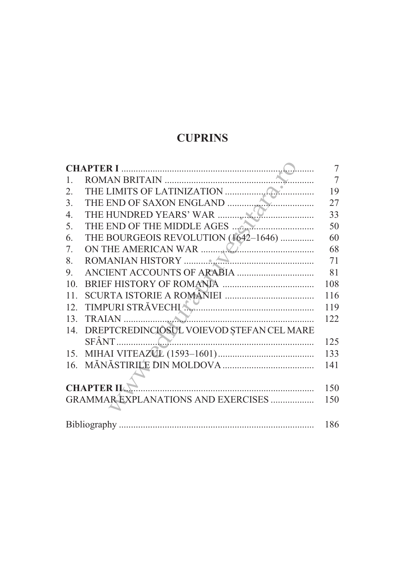### **CUPRINS**

| $\tau$                                                                                                                                                                                                                                                                                                                                                                                                                                         |
|------------------------------------------------------------------------------------------------------------------------------------------------------------------------------------------------------------------------------------------------------------------------------------------------------------------------------------------------------------------------------------------------------------------------------------------------|
| $7\phantom{.0}$                                                                                                                                                                                                                                                                                                                                                                                                                                |
| 19                                                                                                                                                                                                                                                                                                                                                                                                                                             |
| 27                                                                                                                                                                                                                                                                                                                                                                                                                                             |
| 33                                                                                                                                                                                                                                                                                                                                                                                                                                             |
| 50                                                                                                                                                                                                                                                                                                                                                                                                                                             |
| THE BOURGEOIS REVOLUTION (1642-1646)<br>60                                                                                                                                                                                                                                                                                                                                                                                                     |
| 68                                                                                                                                                                                                                                                                                                                                                                                                                                             |
| 71                                                                                                                                                                                                                                                                                                                                                                                                                                             |
| 81                                                                                                                                                                                                                                                                                                                                                                                                                                             |
| 108                                                                                                                                                                                                                                                                                                                                                                                                                                            |
| 116                                                                                                                                                                                                                                                                                                                                                                                                                                            |
| $\label{thm:optimal} \begin{minipage}{0.9\linewidth} \textbf{TIME} \textbf{STR} \textbf{A} \textbf{VECHI} \textbf{S} \textbf{W} \textbf{S} \textbf{W} \textbf{S} \textbf{W} \textbf{S} \textbf{W} \textbf{S} \textbf{W} \textbf{S} \textbf{W} \textbf{S} \textbf{W} \textbf{S} \textbf{W} \textbf{S} \textbf{W} \textbf{S} \textbf{W} \textbf{S} \textbf{W} \textbf{S} \textbf{W} \textbf{S} \textbf{W} \textbf{S} \textbf{S} \textbf{$<br>119 |
| 122                                                                                                                                                                                                                                                                                                                                                                                                                                            |
| DREPTCREDINCIOSUL VOIEVOD ȘTEFAN CEL MARE                                                                                                                                                                                                                                                                                                                                                                                                      |
| 125                                                                                                                                                                                                                                                                                                                                                                                                                                            |
| 133                                                                                                                                                                                                                                                                                                                                                                                                                                            |
| 141                                                                                                                                                                                                                                                                                                                                                                                                                                            |
|                                                                                                                                                                                                                                                                                                                                                                                                                                                |
| 150                                                                                                                                                                                                                                                                                                                                                                                                                                            |
| GRAMMAR EXPLANATIONS AND EXERCISES<br>150                                                                                                                                                                                                                                                                                                                                                                                                      |
|                                                                                                                                                                                                                                                                                                                                                                                                                                                |
| 186                                                                                                                                                                                                                                                                                                                                                                                                                                            |
|                                                                                                                                                                                                                                                                                                                                                                                                                                                |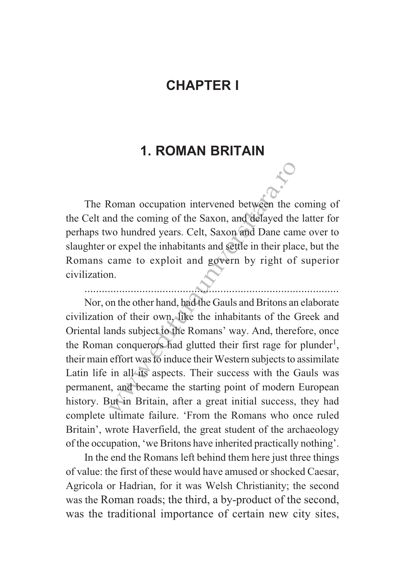#### **CHAPTER I**

#### **1. ROMAN BRITAIN**

The Roman occupation intervened between the coming of the Celt and the coming of the Saxon, and delayed the latter for perhaps two hundred years. Celt, Saxon and Dane came over to slaughter or expel the inhabitants and settle in their place, but the Romans came to exploit and govern by right of superior civilization

Nor, on the other hand, had the Gauls and Britons an elaborate civilization of their own. like the inhabitants of the Greek and Oriental lands subject to the Romans' way. And, therefore, once the Roman conquerors had glutted their first rage for plunder<sup>1</sup>, their main effort was to induce their Western subjects to assimilate Latin life in all its aspects. Their success with the Gauls was permanent, and became the starting point of modern European history. But in Britain, after a great initial success, they had complete ultimate failure. 'From the Romans who once ruled Britain', wrote Haverfield, the great student of the archaeology of the occupation, 'we Britons have inherited practically nothing'.

In the end the Romans left behind them here just three things of value: the first of these would have amused or shocked Caesar. Agricola or Hadrian, for it was Welsh Christianity; the second was the Roman roads; the third, a by-product of the second, was the traditional importance of certain new city sites,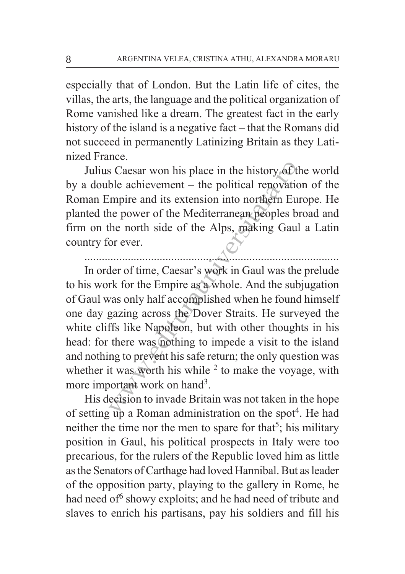especially that of London. But the Latin life of cites, the villas, the arts, the language and the political organization of Rome vanished like a dream. The greatest fact in the early history of the island is a negative fact – that the Romans did not succeed in permanently Latinizing Britain as they Latinized France

Julius Caesar won his place in the history of the world by a double achievement – the political renovation of the Roman Empire and its extension into northern Europe. He planted the power of the Mediterranean peoples broad and firm on the north side of the Alps, making Gaul a Latin country for ever.

In order of time, Caesar's work in Gaul was the prelude to his work for the Empire as a whole. And the subjugation of Gaul was only half accomplished when he found himself one day gazing across the Dover Straits. He surveyed the white cliffs like Napoleon, but with other thoughts in his head: for there was nothing to impede a visit to the island and nothing to prevent his safe return; the only question was whether it was worth his while  $2$  to make the voyage, with more important work on hand<sup>3</sup>.

His decision to invade Britain was not taken in the hope of setting up a Roman administration on the spot<sup>4</sup>. He had neither the time nor the men to spare for that<sup>5</sup>; his military position in Gaul, his political prospects in Italy were too precarious, for the rulers of the Republic loved him as little as the Senators of Carthage had loved Hannibal. But as leader of the opposition party, playing to the gallery in Rome, he had need of showy exploits; and he had need of tribute and slaves to enrich his partisans, pay his soldiers and fill his

<sup>. . . . . . . . . . . . . . .</sup>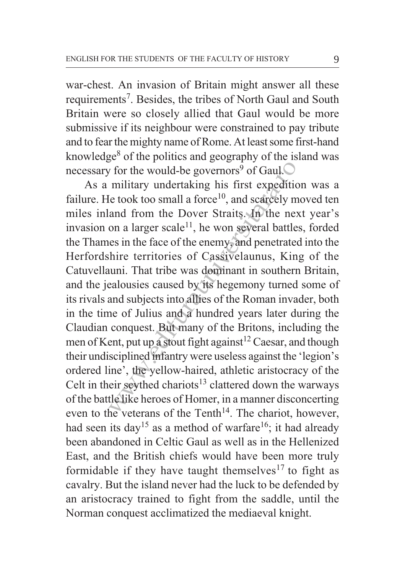war-chest. An invasion of Britain might answer all these requirements<sup>7</sup>. Besides, the tribes of North Gaul and South Britain were so closely allied that Gaul would be more submissive if its neighbour were constrained to pay tribute and to fear the mighty name of Rome. At least some first-hand knowledge<sup>8</sup> of the politics and geography of the island was necessary for the would-be governors<sup>9</sup> of Gaul. $\bigcirc$ 

As a military undertaking his first expedition was a failure. He took too small a force<sup>10</sup>, and scarcely moved ten miles inland from the Dover Straits. In the next year's invasion on a larger scale<sup>11</sup>, he won several battles, forded the Thames in the face of the enemy, and penetrated into the Herfordshire territories of Cassivelaunus, King of the Catuvellauni. That tribe was dominant in southern Britain. and the jealousies caused by its hegemony turned some of its rivals and subjects into allies of the Roman invader, both in the time of Julius and a hundred years later during the Claudian conquest. But many of the Britons, including the men of Kent, put up a stout fight against<sup>12</sup> Caesar, and though their undisciplined infantry were useless against the 'legion's ordered line', the yellow-haired, athletic aristocracy of the Celt in their seythed chariots<sup>13</sup> clattered down the warways of the battle like heroes of Homer, in a manner disconcerting even to the veterans of the Tenth<sup>14</sup>. The chariot, however, had seen its day<sup>15</sup> as a method of warfare<sup>16</sup>; it had already been abandoned in Celtic Gaul as well as in the Hellenized East, and the British chiefs would have been more truly formidable if they have taught themselves<sup>17</sup> to fight as cavalry. But the island never had the luck to be defended by an aristocracy trained to fight from the saddle, until the Norman conquest acclimatized the mediaeval knight.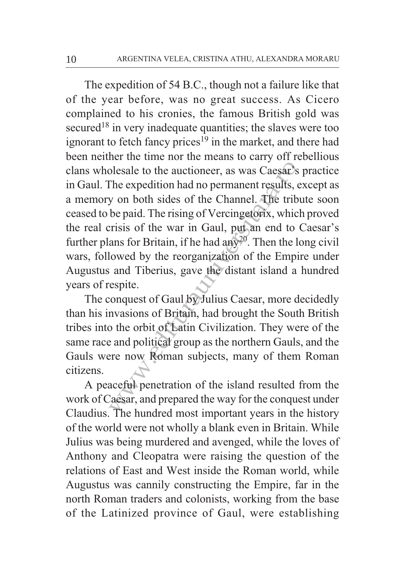The expedition of 54 B.C., though not a failure like that of the year before, was no great success. As Cicero complained to his cronies, the famous British gold was secured<sup>18</sup> in very inadequate quantities; the slaves were too ignorant to fetch fancy prices<sup>19</sup> in the market, and there had been neither the time nor the means to carry off rebellious clans wholesale to the auctioneer, as was Caesar's practice in Gaul. The expedition had no permanent results, except as a memory on both sides of the Channel. The tribute soon ceased to be paid. The rising of Vercingetorix, which proved the real crisis of the war in Gaul, put an end to Caesar's further plans for Britain, if he had any<sup>20</sup>. Then the long civil wars, followed by the reorganization of the Empire under Augustus and Tiberius, gave the distant island a hundred vears of respite.

The conquest of Gaul by Julius Caesar, more decidedly than his invasions of Britain, had brought the South British tribes into the orbit of Latin Civilization. They were of the same race and political group as the northern Gauls, and the Gauls were now Roman subjects, many of them Roman citizens.

A peaceful penetration of the island resulted from the work of Caesar, and prepared the way for the conquest under Claudius. The hundred most important years in the history of the world were not wholly a blank even in Britain. While Julius was being murdered and avenged, while the loves of Anthony and Cleopatra were raising the question of the relations of East and West inside the Roman world, while Augustus was cannily constructing the Empire, far in the north Roman traders and colonists, working from the base of the Latinized province of Gaul, were establishing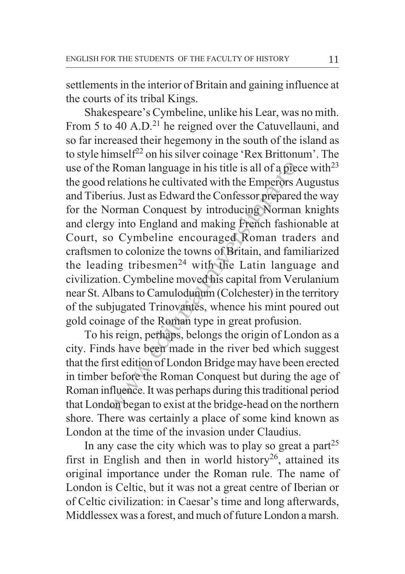settlements in the interior of Britain and gaining influence at the courts of its tribal Kings.

Shakespeare's Cymbeline, unlike his Lear, was no mith. From 5 to 40 A.D. $^{21}$  he reigned over the Catuvellauni, and so far increased their hegemony in the south of the island as to style himself<sup>22</sup> on his silver coinage 'Rex Brittonum'. The use of the Roman language in his title is all of a piece with<sup>23</sup> the good relations he cultivated with the Emperors Augustus and Tiberius. Just as Edward the Confessor prepared the way for the Norman Conquest by introducing Norman knights and clergy into England and making French fashionable at Court, so Cymbeline encouraged Roman traders and craftsmen to colonize the towns of Britain, and familiarized the leading tribesmen<sup>24</sup> with the Latin language and civilization. Cymbeline moved his capital from Verulanium near St. Albans to Camulodunum (Colchester) in the territory of the subjugated Trinovantes, whence his mint poured out gold coinage of the Roman type in great profusion.

To his reign, perhaps, belongs the origin of London as a city. Finds have been made in the river bed which suggest that the first edition of London Bridge may have been erected in timber before the Roman Conquest but during the age of Roman influence. It was perhaps during this traditional period that London began to exist at the bridge-head on the northern shore. There was certainly a place of some kind known as London at the time of the invasion under Claudius.

In any case the city which was to play so great a part<sup>25</sup> first in English and then in world history<sup>26</sup>, attained its original importance under the Roman rule. The name of London is Celtic, but it was not a great centre of Iberian or of Celtic civilization: in Caesar's time and long afterwards, Middlessex was a forest, and much of future London a marsh.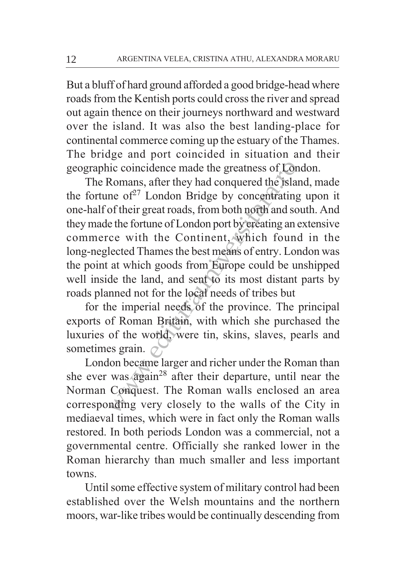But a bluff of hard ground afforded a good bridge-head where roads from the Kentish ports could cross the river and spread out again thence on their journeys northward and westward over the island. It was also the best landing-place for continental commerce coming up the estuary of the Thames. The bridge and port coincided in situation and their geographic coincidence made the greatness of London.

The Romans, after they had conquered the island, made the fortune of  $27$  London Bridge by concentrating upon it one-half of their great roads, from both north and south. And they made the fortune of London port by creating an extensive commerce with the Continent, which found in the long-neglected Thames the best means of entry. London was the point at which goods from Europe could be unshipped well inside the land, and sent to its most distant parts by roads planned not for the local needs of tribes but

for the imperial needs of the province. The principal exports of Roman Britain, with which she purchased the luxuries of the world, were tin, skins, slaves, pearls and sometimes grain.  $\circ$ 

London became larger and richer under the Roman than she ever was again<sup>28</sup> after their departure, until near the Norman Conquest. The Roman walls enclosed an area corresponding very closely to the walls of the City in mediaeval times, which were in fact only the Roman walls restored. In both periods London was a commercial, not a governmental centre. Officially she ranked lower in the Roman hierarchy than much smaller and less important towns

Until some effective system of military control had been established over the Welsh mountains and the northern moors, war-like tribes would be continually descending from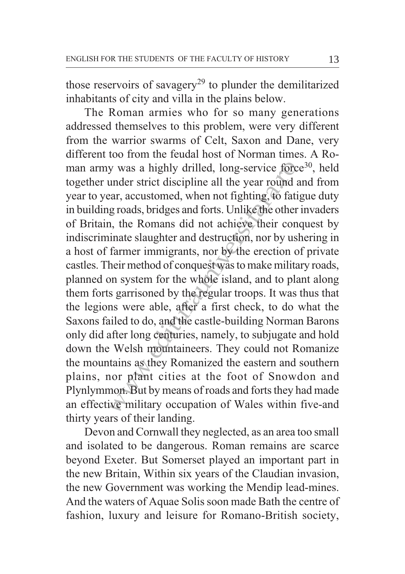those reservoirs of savagery<sup>29</sup> to plunder the demilitarized inhabitants of city and villa in the plains below.

The Roman armies who for so many generations addressed themselves to this problem, were very different from the warrior swarms of Celt, Saxon and Dane, very different too from the feudal host of Norman times A Roman army was a highly drilled, long-service force<sup>30</sup>, held together under strict discipline all the year round and from year to year, accustomed, when not fighting, to fatigue duty in building roads, bridges and forts. Unlike the other invaders of Britain, the Romans did not achieve their conquest by indiscriminate slaughter and destruction, nor by ushering in a host of farmer immigrants, nor by the erection of private castles. Their method of conquest was to make military roads, planned on system for the whole island, and to plant along them forts garrisoned by the regular troops. It was thus that the legions were able, after a first check, to do what the Saxons failed to do, and the castle-building Norman Barons only did after long centuries, namely, to subjugate and hold down the Welsh mountaineers. They could not Romanize the mountains as they Romanized the eastern and southern plains, nor plant cities at the foot of Snowdon and Plynlymmon. But by means of roads and forts they had made an effective military occupation of Wales within five-and thirty years of their landing.

Devon and Cornwall they neglected, as an area too small and isolated to be dangerous. Roman remains are scarce beyond Exeter. But Somerset played an important part in the new Britain, Within six years of the Claudian invasion, the new Government was working the Mendip lead-mines. And the waters of Aquae Solis soon made Bath the centre of fashion, luxury and leisure for Romano-British society,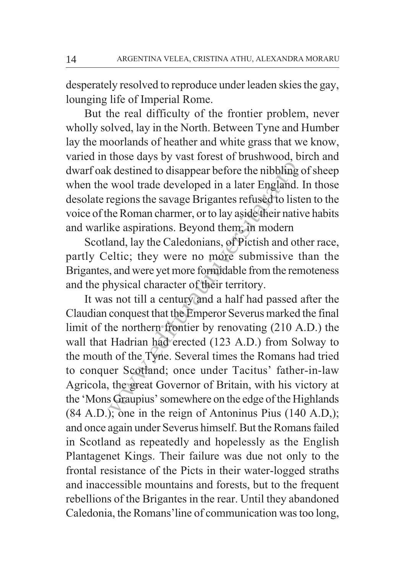desperately resolved to reproduce under leaden skies the gay, lounging life of Imperial Rome.

But the real difficulty of the frontier problem, never wholly solved, lay in the North. Between Tyne and Humber lay the moorlands of heather and white grass that we know, varied in those days by vast forest of brushwood, birch and dwarf oak destined to disappear before the nibbling of sheep when the wool trade developed in a later England. In those desolate regions the savage Brigantes refused to listen to the voice of the Roman charmer, or to lay aside their native habits and warlike aspirations. Beyond them, in modern

Scotland, lay the Caledonians, of Pictish and other race, partly Celtic; they were no more submissive than the Brigantes, and were yet more formidable from the remoteness and the physical character of their territory.

It was not till a century and a half had passed after the Claudian conquest that the Emperor Severus marked the final limit of the northern frontier by renovating (210 A.D.) the wall that Hadrian had erected (123 A.D.) from Solway to the mouth of the Tyne. Several times the Romans had tried to conquer Scotland; once under Tacitus' father-in-law Agricola, the great Governor of Britain, with his victory at the 'Mons Graupius' somewhere on the edge of the Highlands  $(84 A.D.)$ ; one in the reign of Antoninus Pius  $(140 A.D.)$ ; and once again under Severus himself. But the Romans failed in Scotland as repeatedly and hopelessly as the English Plantagenet Kings. Their failure was due not only to the frontal resistance of the Picts in their water-logged straths and inaccessible mountains and forests, but to the frequent rebellions of the Brigantes in the rear. Until they abandoned Caledonia, the Romans' line of communication was too long,